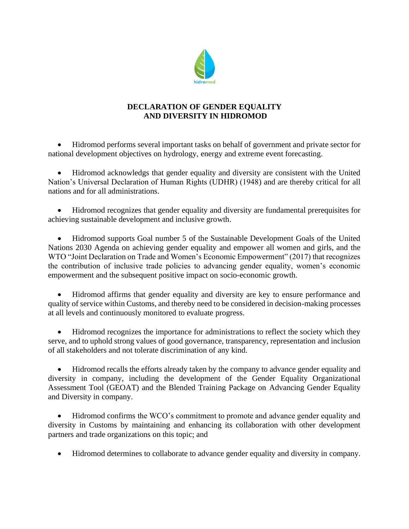

## **DECLARATION OF GENDER EQUALITY AND DIVERSITY IN HIDROMOD**

• Hidromod performs several important tasks on behalf of government and private sector for national development objectives on hydrology, energy and extreme event forecasting.

• Hidromod acknowledgs that gender equality and diversity are consistent with the United Nation's Universal Declaration of Human Rights (UDHR) (1948) and are thereby critical for all nations and for all administrations.

• Hidromod recognizes that gender equality and diversity are fundamental prerequisites for achieving sustainable development and inclusive growth.

• Hidromod supports Goal number 5 of the Sustainable Development Goals of the United Nations 2030 Agenda on achieving gender equality and empower all women and girls, and the WTO "Joint Declaration on Trade and Women's Economic Empowerment" (2017) that recognizes the contribution of inclusive trade policies to advancing gender equality, women's economic empowerment and the subsequent positive impact on socio-economic growth.

• Hidromod affirms that gender equality and diversity are key to ensure performance and quality of service within Customs, and thereby need to be considered in decision-making processes at all levels and continuously monitored to evaluate progress.

• Hidromod recognizes the importance for administrations to reflect the society which they serve, and to uphold strong values of good governance, transparency, representation and inclusion of all stakeholders and not tolerate discrimination of any kind.

• Hidromod recalls the efforts already taken by the company to advance gender equality and diversity in company, including the development of the Gender Equality Organizational Assessment Tool (GEOAT) and the Blended Training Package on Advancing Gender Equality and Diversity in company.

• Hidromod confirms the WCO's commitment to promote and advance gender equality and diversity in Customs by maintaining and enhancing its collaboration with other development partners and trade organizations on this topic; and

• Hidromod determines to collaborate to advance gender equality and diversity in company.